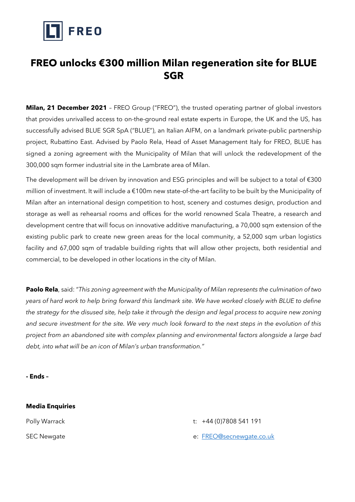

## **FREO unlocks €300 million Milan regeneration site for BLUE SGR**

**Milan, 21 December 2021** – FREO Group ("FREO"), the trusted operating partner of global investors that provides unrivalled access to on-the-ground real estate experts in Europe, the UK and the US, has successfully advised BLUE SGR SpA ("BLUE"), an Italian AIFM, on a landmark private-public partnership project, Rubattino East. Advised by Paolo Rela, Head of Asset Management Italy for FREO, BLUE has signed a zoning agreement with the Municipality of Milan that will unlock the redevelopment of the 300,000 sqm former industrial site in the Lambrate area of Milan.

The development will be driven by innovation and ESG principles and will be subject to a total of €300 million of investment. It will include a €100m new state-of-the-art facility to be built by the Municipality of Milan after an international design competition to host, scenery and costumes design, production and storage as well as rehearsal rooms and offices for the world renowned Scala Theatre, a research and development centre that will focus on innovative additive manufacturing, a 70,000 sqm extension of the existing public park to create new green areas for the local community, a 52,000 sqm urban logistics facility and 67,000 sqm of tradable building rights that will allow other projects, both residential and commercial, to be developed in other locations in the city of Milan.

**Paolo Rela**, said: "*This zoning agreement with the Municipality of Milan represents the culmination of two years of hard work to help bring forward this landmark site. We have worked closely with BLUE to define the strategy for the disused site, help take it through the design and legal process to acquire new zoning and secure investment for the site. We very much look forward to the next steps in the evolution of this project from an abandoned site with complex planning and environmental factors alongside a large bad debt, into what will be an icon of Milan's urban transformation."*

**- Ends –**

## **Media Enquiries** Polly Warrack t: +44 (0)7808 541 191 SEC Newgate e: [FREO@secnewgate.co.uk](mailto:FREO@secnewgate.co.uk)